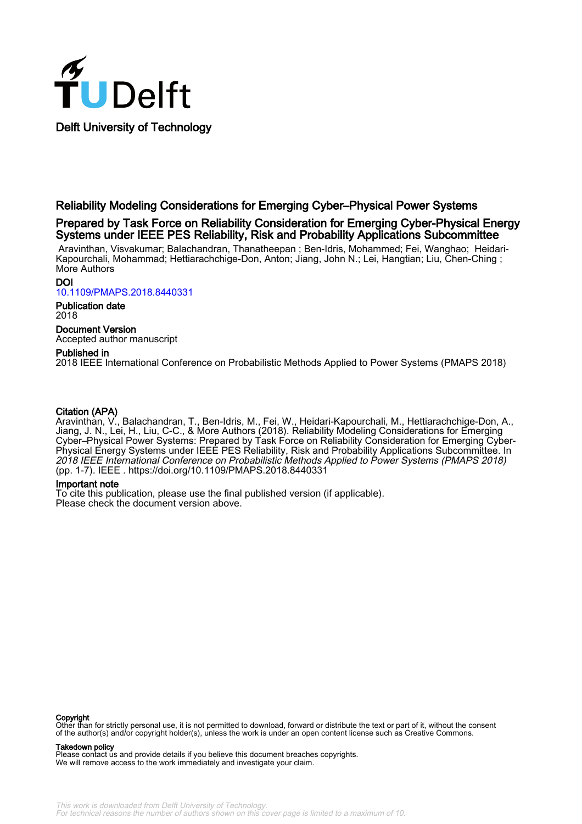

# Reliability Modeling Considerations for Emerging Cyber–Physical Power Systems

Prepared by Task Force on Reliability Consideration for Emerging Cyber-Physical Energy Systems under IEEE PES Reliability, Risk and Probability Applications Subcommittee

 Aravinthan, Visvakumar; Balachandran, Thanatheepan ; Ben-Idris, Mohammed; Fei, Wanghao; Heidari-Kapourchali, Mohammad; Hettiarachchige-Don, Anton; Jiang, John N.; Lei, Hangtian; Liu, Chen-Ching ; More Authors

# DOI

[10.1109/PMAPS.2018.8440331](https://doi.org/10.1109/PMAPS.2018.8440331)

Publication date 2018

Document Version Accepted author manuscript

# Published in

2018 IEEE International Conference on Probabilistic Methods Applied to Power Systems (PMAPS 2018)

# Citation (APA)

Aravinthan, V., Balachandran, T., Ben-Idris, M., Fei, W., Heidari-Kapourchali, M., Hettiarachchige-Don, A., Jiang, J. N., Lei, H., Liu, C-C., & More Authors (2018). Reliability Modeling Considerations for Emerging Cyber–Physical Power Systems: Prepared by Task Force on Reliability Consideration for Emerging Cyber-Physical Energy Systems under IEEE PES Reliability, Risk and Probability Applications Subcommittee. In 2018 IEEE International Conference on Probabilistic Methods Applied to Power Systems (PMAPS 2018) (pp. 1-7). IEEE .<https://doi.org/10.1109/PMAPS.2018.8440331>

## Important note

To cite this publication, please use the final published version (if applicable). Please check the document version above.

## Copyright

Other than for strictly personal use, it is not permitted to download, forward or distribute the text or part of it, without the consent of the author(s) and/or copyright holder(s), unless the work is under an open content license such as Creative Commons.

#### Takedown policy

Please contact us and provide details if you believe this document breaches copyrights. We will remove access to the work immediately and investigate your claim.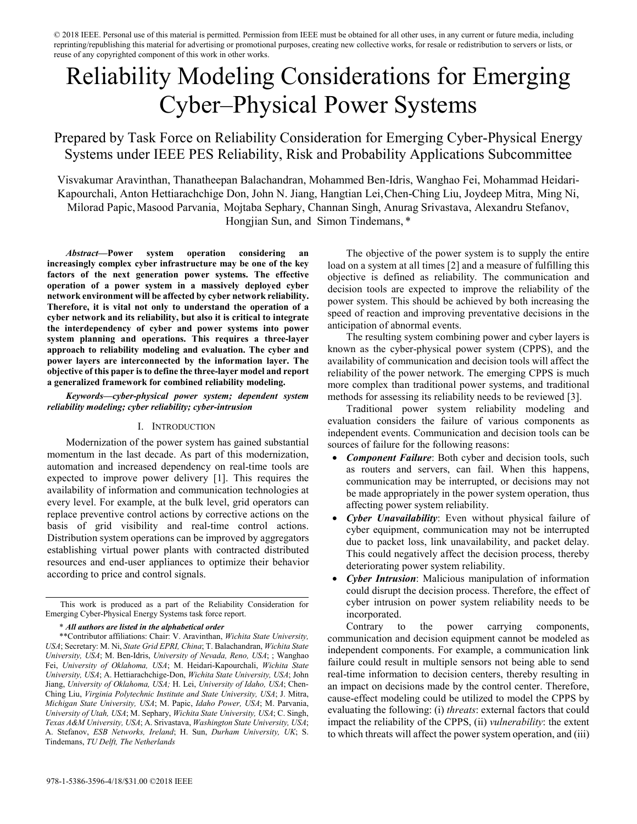© 2018 IEEE. Personal use of this material is permitted. Permission from IEEE must be obtained for all other uses, in any current or future media, including reprinting/republishing this material for advertising or promotional purposes, creating new collective works, for resale or redistribution to servers or lists, or reuse of any copyrighted component of this work in other works.

# Reliability Modeling Considerations for Emerging Cyber–Physical Power Systems

Prepared by Task Force on Reliability Consideration for Emerging Cyber-Physical Energy Systems under IEEE PES Reliability, Risk and Probability Applications Subcommittee

Visvakumar Aravinthan, Thanatheepan Balachandran, Mohammed Ben-Idris, Wanghao Fei, Mohammad Heidari-Kapourchali, Anton Hettiarachchige Don, John N. Jiang, Hangtian Lei,Chen-Ching Liu, Joydeep Mitra, Ming Ni, Milorad Papic,Masood Parvania, Mojtaba Sephary, Channan Singh, Anurag Srivastava, Alexandru Stefanov, Hongjian Sun, and Simon Tindemans, \*

*Abstract***—Power system operation considering an increasingly complex cyber infrastructure may be one of the key factors of the next generation power systems. The effective operation of a power system in a massively deployed cyber network environment will be affected by cyber network reliability. Therefore, it is vital not only to understand the operation of a cyber network and its reliability, but also it is critical to integrate the interdependency of cyber and power systems into power system planning and operations. This requires a three-layer approach to reliability modeling and evaluation. The cyber and power layers are interconnected by the information layer. The objective of this paper is to define the three-layer model and report a generalized framework for combined reliability modeling.** 

*Keywords—cyber-physical power system; dependent system reliability modeling; cyber reliability; cyber-intrusion* 

## I. INTRODUCTION

Modernization of the power system has gained substantial momentum in the last decade. As part of this modernization, automation and increased dependency on real-time tools are expected to improve power delivery [1]. This requires the availability of information and communication technologies at every level. For example, at the bulk level, grid operators can replace preventive control actions by corrective actions on the basis of grid visibility and real-time control actions. Distribution system operations can be improved by aggregators establishing virtual power plants with contracted distributed resources and end-user appliances to optimize their behavior according to price and control signals.

The objective of the power system is to supply the entire load on a system at all times [2] and a measure of fulfilling this objective is defined as reliability. The communication and decision tools are expected to improve the reliability of the power system. This should be achieved by both increasing the speed of reaction and improving preventative decisions in the anticipation of abnormal events.

The resulting system combining power and cyber layers is known as the cyber-physical power system (CPPS), and the availability of communication and decision tools will affect the reliability of the power network. The emerging CPPS is much more complex than traditional power systems, and traditional methods for assessing its reliability needs to be reviewed [3].

Traditional power system reliability modeling and evaluation considers the failure of various components as independent events. Communication and decision tools can be sources of failure for the following reasons:

- *Component Failure*: Both cyber and decision tools, such as routers and servers, can fail. When this happens, communication may be interrupted, or decisions may not be made appropriately in the power system operation, thus affecting power system reliability.
- *Cyber Unavailability*: Even without physical failure of cyber equipment, communication may not be interrupted due to packet loss, link unavailability, and packet delay. This could negatively affect the decision process, thereby deteriorating power system reliability.
- *Cyber Intrusion*: Malicious manipulation of information could disrupt the decision process. Therefore, the effect of cyber intrusion on power system reliability needs to be incorporated.

Contrary to the power carrying components, communication and decision equipment cannot be modeled as independent components. For example, a communication link failure could result in multiple sensors not being able to send real-time information to decision centers, thereby resulting in an impact on decisions made by the control center. Therefore, cause-effect modeling could be utilized to model the CPPS by evaluating the following: (i) *threats*: external factors that could impact the reliability of the CPPS, (ii) *vulnerability*: the extent to which threats will affect the power system operation, and (iii)

This work is produced as a part of the Reliability Consideration for Emerging Cyber-Physical Energy Systems task force report.

<sup>\*</sup> *All authors are listed in the alphabetical order*

<sup>\*\*</sup>Contributor affiliations: Chair: V. Aravinthan, *Wichita State University, USA*; Secretary: M. Ni, *State Grid EPRI, China*; T. Balachandran, *Wichita State University, USA*; M. Ben-Idris, *University of Nevada, Reno, USA*; ; Wanghao Fei, *University of Oklahoma, USA*; M. Heidari-Kapourchali, *Wichita State University, USA*; A. Hettiarachchige-Don, *Wichita State University, USA*; John Jiang, *University of Oklahoma, USA;* H. Lei, *University of Idaho, USA*; Chen-Ching Liu, *Virginia Polytechnic Institute and State University, USA*; J. Mitra, *Michigan State University, USA*; M. Papic, *Idaho Power, USA*; M. Parvania, *University of Utah, USA*; M. Sephary, *Wichita State University, USA*; C. Singh, *Texas A&M University, USA*; A. Srivastava, *Washington State University, USA*; A. Stefanov, *ESB Networks, Ireland*; H. Sun, *Durham University, UK*; S. Tindemans, *TU Delft, The Netherlands*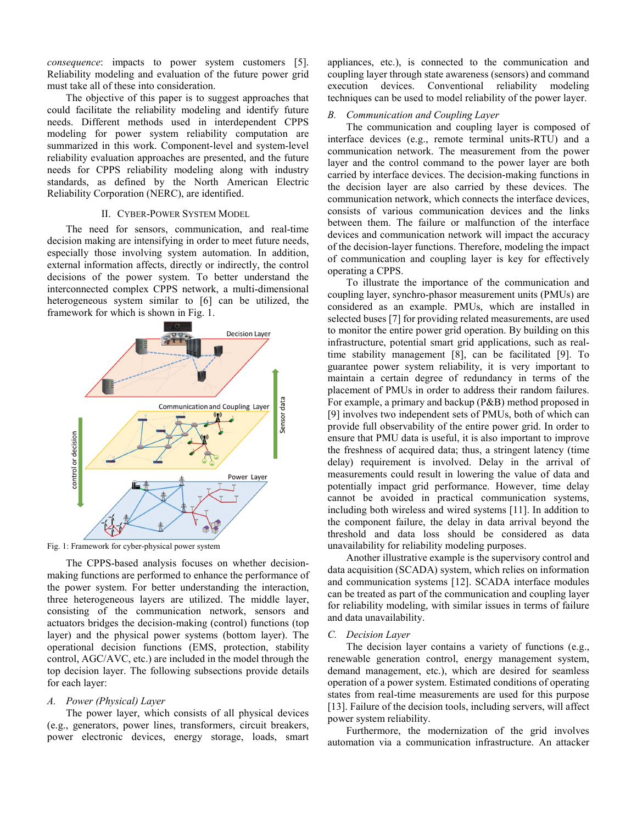*consequence*: impacts to power system customers [5]. Reliability modeling and evaluation of the future power grid must take all of these into consideration.

The objective of this paper is to suggest approaches that could facilitate the reliability modeling and identify future needs. Different methods used in interdependent CPPS modeling for power system reliability computation are summarized in this work. Component-level and system-level reliability evaluation approaches are presented, and the future needs for CPPS reliability modeling along with industry standards, as defined by the North American Electric Reliability Corporation (NERC), are identified.

## II. CYBER-POWER SYSTEM MODEL

The need for sensors, communication, and real-time decision making are intensifying in order to meet future needs, especially those involving system automation. In addition, external information affects, directly or indirectly, the control decisions of the power system. To better understand the interconnected complex CPPS network, a multi-dimensional heterogeneous system similar to [6] can be utilized, the framework for which is shown in Fig. 1.



Fig. 1: Framework for cyber-physical power system

The CPPS-based analysis focuses on whether decisionmaking functions are performed to enhance the performance of the power system. For better understanding the interaction, three heterogeneous layers are utilized. The middle layer, consisting of the communication network, sensors and actuators bridges the decision-making (control) functions (top layer) and the physical power systems (bottom layer). The operational decision functions (EMS, protection, stability control, AGC/AVC, etc.) are included in the model through the top decision layer. The following subsections provide details for each layer:

## *A. Power (Physical) Layer*

The power layer, which consists of all physical devices (e.g., generators, power lines, transformers, circuit breakers, power electronic devices, energy storage, loads, smart appliances, etc.), is connected to the communication and coupling layer through state awareness (sensors) and command execution devices. Conventional reliability modeling techniques can be used to model reliability of the power layer.

## *B. Communication and Coupling Layer*

The communication and coupling layer is composed of interface devices (e.g., remote terminal units-RTU) and a communication network. The measurement from the power layer and the control command to the power layer are both carried by interface devices. The decision-making functions in the decision layer are also carried by these devices. The communication network, which connects the interface devices, consists of various communication devices and the links between them. The failure or malfunction of the interface devices and communication network will impact the accuracy of the decision-layer functions. Therefore, modeling the impact of communication and coupling layer is key for effectively operating a CPPS.

To illustrate the importance of the communication and coupling layer, synchro-phasor measurement units (PMUs) are considered as an example. PMUs, which are installed in selected buses [7] for providing related measurements, are used to monitor the entire power grid operation. By building on this infrastructure, potential smart grid applications, such as realtime stability management [8], can be facilitated [9]. To guarantee power system reliability, it is very important to maintain a certain degree of redundancy in terms of the placement of PMUs in order to address their random failures. For example, a primary and backup (P&B) method proposed in [9] involves two independent sets of PMUs, both of which can provide full observability of the entire power grid. In order to ensure that PMU data is useful, it is also important to improve the freshness of acquired data; thus, a stringent latency (time delay) requirement is involved. Delay in the arrival of measurements could result in lowering the value of data and potentially impact grid performance. However, time delay cannot be avoided in practical communication systems, including both wireless and wired systems [11]. In addition to the component failure, the delay in data arrival beyond the threshold and data loss should be considered as data unavailability for reliability modeling purposes.

Another illustrative example is the supervisory control and data acquisition (SCADA) system, which relies on information and communication systems [12]. SCADA interface modules can be treated as part of the communication and coupling layer for reliability modeling, with similar issues in terms of failure and data unavailability.

## *C. Decision Layer*

The decision layer contains a variety of functions (e.g., renewable generation control, energy management system, demand management, etc.), which are desired for seamless operation of a power system. Estimated conditions of operating states from real-time measurements are used for this purpose [13]. Failure of the decision tools, including servers, will affect power system reliability.

Furthermore, the modernization of the grid involves automation via a communication infrastructure. An attacker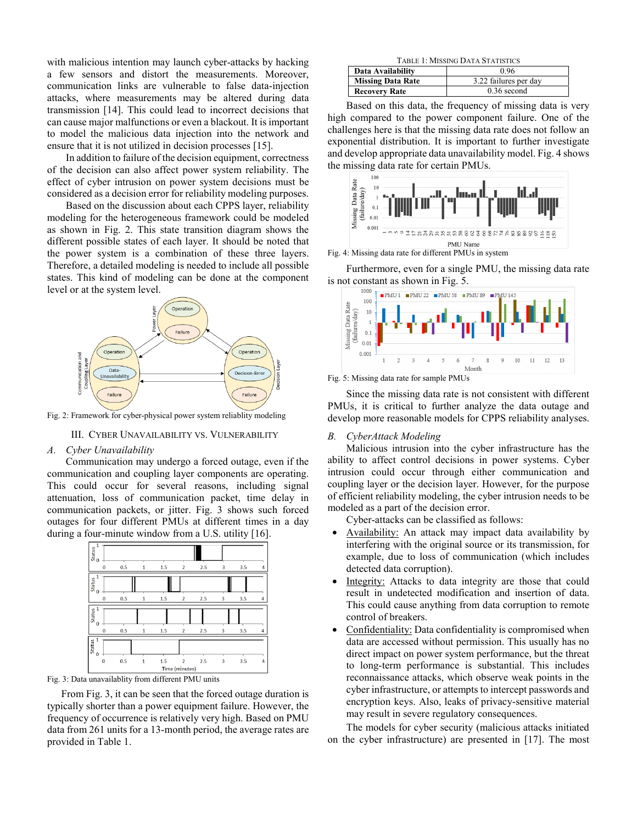with malicious intention may launch cyber-attacks by hacking a few sensors and distort the measurements. Moreover, communication links are vulnerable to false data-injection attacks, where measurements may be altered during data transmission [14]. This could lead to incorrect decisions that can cause major malfunctions or even a blackout. It is important to model the malicious data injection into the network and ensure that it is not utilized in decision processes [15].

In addition to failure of the decision equipment, correctness of the decision can also affect power system reliability. The effect of cyber intrusion on power system decisions must be considered as a decision error for reliability modeling purposes.

Based on the discussion about each CPPS layer, reliability modeling for the heterogeneous framework could be modeled as shown in Fig. 2. This state transition diagram shows the different possible states of each layer. It should be noted that the power system is a combination of these three layers. Therefore, a detailed modeling is needed to include all possible states. This kind of modeling can be done at the component level or at the system level.



## III. CYBER UNAVAILABILITY VS. VULNERABILITY

#### *A. Cyber Unavailability*

Communication may undergo a forced outage, even if the communication and coupling layer components are operating. This could occur for several reasons, including signal attenuation, loss of communication packet, time delay in communication packets, or jitter. Fig. 3 shows such forced outages for four different PMUs at different times in a day during a four-minute window from a U.S. utility [16].



Fig. 3: Data unavailablity from different PMU units

From Fig. 3, it can be seen that the forced outage duration is typically shorter than a power equipment failure. However, the frequency of occurrence is relatively very high. Based on PMU data from 261 units for a 13-month period, the average rates are provided in Table 1.

| <b>TABLE 1: MISSING DATA STATISTICS</b> |                       |
|-----------------------------------------|-----------------------|
| Data Availability                       | 0.96                  |
| <b>Missing Data Rate</b>                | 3.22 failures per day |
| <b>Recovery Rate</b>                    | $0.36$ second         |

Based on this data, the frequency of missing data is very high compared to the power component failure. One of the challenges here is that the missing data rate does not follow an exponential distribution. It is important to further investigate and develop appropriate data unavailability model. Fig. 4 shows the missing data rate for certain PMUs.



Furthermore, even for a single PMU, the missing data rate



Fig. 5: Missing data rate for sample PMUs

Since the missing data rate is not consistent with different PMUs, it is critical to further analyze the data outage and develop more reasonable models for CPPS reliability analyses.

#### *B. CyberAttack Modeling*

Malicious intrusion into the cyber infrastructure has the ability to affect control decisions in power systems. Cyber intrusion could occur through either communication and coupling layer or the decision layer. However, for the purpose of efficient reliability modeling, the cyber intrusion needs to be modeled as a part of the decision error.

Cyber-attacks can be classified as follows:

- Availability: An attack may impact data availability by interfering with the original source or its transmission, for example, due to loss of communication (which includes detected data corruption).
- Integrity: Attacks to data integrity are those that could result in undetected modification and insertion of data. This could cause anything from data corruption to remote control of breakers.
- Confidentiality: Data confidentiality is compromised when data are accessed without permission. This usually has no direct impact on power system performance, but the threat to long-term performance is substantial. This includes reconnaissance attacks, which observe weak points in the cyber infrastructure, or attempts to intercept passwords and encryption keys. Also, leaks of privacy-sensitive material may result in severe regulatory consequences.

The models for cyber security (malicious attacks initiated on the cyber infrastructure) are presented in [17]. The most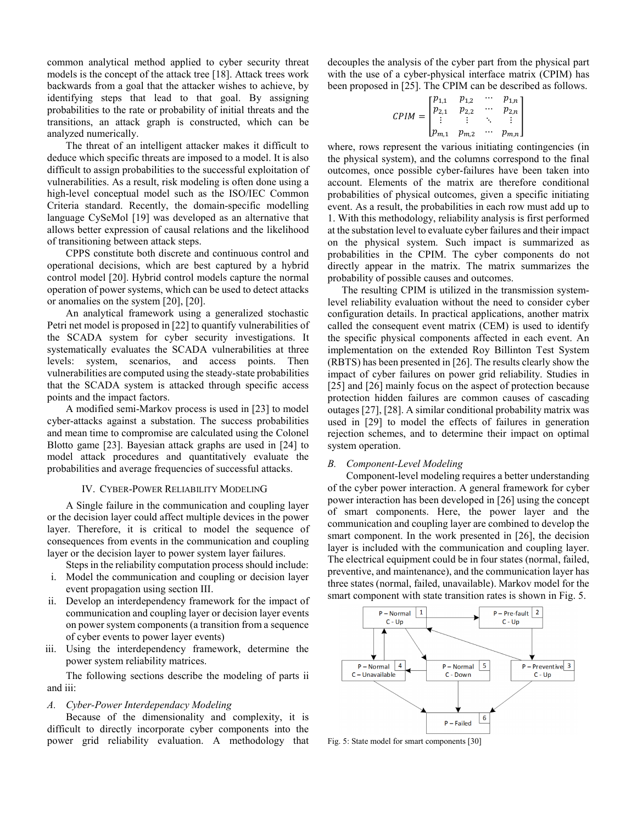common analytical method applied to cyber security threat models is the concept of the attack tree [18]. Attack trees work backwards from a goal that the attacker wishes to achieve, by identifying steps that lead to that goal. By assigning probabilities to the rate or probability of initial threats and the transitions, an attack graph is constructed, which can be analyzed numerically.

The threat of an intelligent attacker makes it difficult to deduce which specific threats are imposed to a model. It is also difficult to assign probabilities to the successful exploitation of vulnerabilities. As a result, risk modeling is often done using a high-level conceptual model such as the ISO/IEC Common Criteria standard. Recently, the domain-specific modelling language CySeMol [19] was developed as an alternative that allows better expression of causal relations and the likelihood of transitioning between attack steps.

CPPS constitute both discrete and continuous control and operational decisions, which are best captured by a hybrid control model [20]. Hybrid control models capture the normal operation of power systems, which can be used to detect attacks or anomalies on the system [20], [20].

An analytical framework using a generalized stochastic Petri net model is proposed in [22] to quantify vulnerabilities of the SCADA system for cyber security investigations. It systematically evaluates the SCADA vulnerabilities at three levels: system, scenarios, and access points. Then vulnerabilities are computed using the steady-state probabilities that the SCADA system is attacked through specific access points and the impact factors.

A modified semi-Markov process is used in [23] to model cyber-attacks against a substation. The success probabilities and mean time to compromise are calculated using the Colonel Blotto game [23]. Bayesian attack graphs are used in [24] to model attack procedures and quantitatively evaluate the probabilities and average frequencies of successful attacks.

## IV. CYBER-POWER RELIABILITY MODELING

A Single failure in the communication and coupling layer or the decision layer could affect multiple devices in the power layer. Therefore, it is critical to model the sequence of consequences from events in the communication and coupling layer or the decision layer to power system layer failures.

- Steps in the reliability computation process should include:
- i. Model the communication and coupling or decision layer event propagation using section III.
- ii. Develop an interdependency framework for the impact of communication and coupling layer or decision layer events on power system components (a transition from a sequence of cyber events to power layer events)
- iii. Using the interdependency framework, determine the power system reliability matrices.

The following sections describe the modeling of parts ii and iii:

## *A. Cyber-Power Interdependacy Modeling*

Because of the dimensionality and complexity, it is difficult to directly incorporate cyber components into the power grid reliability evaluation. A methodology that decouples the analysis of the cyber part from the physical part with the use of a cyber-physical interface matrix (CPIM) has been proposed in [25]. The CPIM can be described as follows.

$$
CPIM = \begin{bmatrix} p_{1,1} & p_{1,2} & \cdots & p_{1,n} \\ p_{2,1} & p_{2,2} & \cdots & p_{2,n} \\ \vdots & \vdots & \ddots & \vdots \\ p_{m,1} & p_{m,2} & \cdots & p_{m,n} \end{bmatrix}
$$

where, rows represent the various initiating contingencies (in the physical system), and the columns correspond to the final outcomes, once possible cyber-failures have been taken into account. Elements of the matrix are therefore conditional probabilities of physical outcomes, given a specific initiating event. As a result, the probabilities in each row must add up to 1. With this methodology, reliability analysis is first performed at the substation level to evaluate cyber failures and their impact on the physical system. Such impact is summarized as probabilities in the CPIM. The cyber components do not directly appear in the matrix. The matrix summarizes the probability of possible causes and outcomes.

The resulting CPIM is utilized in the transmission systemlevel reliability evaluation without the need to consider cyber configuration details. In practical applications, another matrix called the consequent event matrix (CEM) is used to identify the specific physical components affected in each event. An implementation on the extended Roy Billinton Test System (RBTS) has been presented in [26]. The results clearly show the impact of cyber failures on power grid reliability. Studies in [25] and [26] mainly focus on the aspect of protection because protection hidden failures are common causes of cascading outages [27], [28]. A similar conditional probability matrix was used in [29] to model the effects of failures in generation rejection schemes, and to determine their impact on optimal system operation.

## *B. Component-Level Modeling*

Component-level modeling requires a better understanding of the cyber power interaction. A general framework for cyber power interaction has been developed in [26] using the concept of smart components. Here, the power layer and the communication and coupling layer are combined to develop the smart component. In the work presented in [26], the decision layer is included with the communication and coupling layer. The electrical equipment could be in four states (normal, failed, preventive, and maintenance), and the communication layer has three states (normal, failed, unavailable). Markov model for the smart component with state transition rates is shown in Fig. 5.



Fig. 5: State model for smart components [30]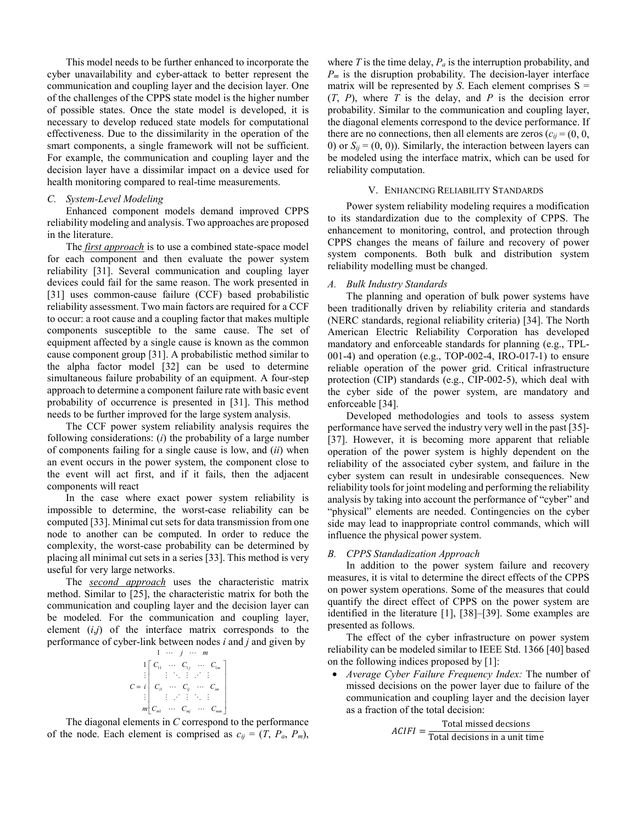This model needs to be further enhanced to incorporate the cyber unavailability and cyber-attack to better represent the communication and coupling layer and the decision layer. One of the challenges of the CPPS state model is the higher number of possible states. Once the state model is developed, it is necessary to develop reduced state models for computational effectiveness. Due to the dissimilarity in the operation of the smart components, a single framework will not be sufficient. For example, the communication and coupling layer and the decision layer have a dissimilar impact on a device used for health monitoring compared to real-time measurements.

## *C. System-Level Modeling*

Enhanced component models demand improved CPPS reliability modeling and analysis. Two approaches are proposed in the literature.

The *first approach* is to use a combined state-space model for each component and then evaluate the power system reliability [31]. Several communication and coupling layer devices could fail for the same reason. The work presented in [31] uses common-cause failure (CCF) based probabilistic reliability assessment. Two main factors are required for a CCF to occur: a root cause and a coupling factor that makes multiple components susceptible to the same cause. The set of equipment affected by a single cause is known as the common cause component group [31]. A probabilistic method similar to the alpha factor model [32] can be used to determine simultaneous failure probability of an equipment. A four-step approach to determine a component failure rate with basic event probability of occurrence is presented in [31]. This method needs to be further improved for the large system analysis.

The CCF power system reliability analysis requires the following considerations: (*i*) the probability of a large number of components failing for a single cause is low, and (*ii*) when an event occurs in the power system, the component close to the event will act first, and if it fails, then the adjacent components will react

In the case where exact power system reliability is impossible to determine, the worst-case reliability can be computed [33]. Minimal cut sets for data transmission from one node to another can be computed. In order to reduce the complexity, the worst-case probability can be determined by placing all minimal cut sets in a series [33]. This method is very useful for very large networks.

The *second approach* uses the characteristic matrix method. Similar to [25], the characteristic matrix for both the communication and coupling layer and the decision layer can be modeled. For the communication and coupling layer, element (*i*,*j*) of the interface matrix corresponds to the performance of cyber-link between nodes *i* and *j* and given by

$$
C = i \begin{bmatrix} 1 & \cdots & j & \cdots & m \\ C_{11} & \cdots & C_{1j} & \cdots & C_{1m} \\ \vdots & \vdots & \vdots & \vdots & \vdots \\ C_{n1} & \cdots & C_{nj} & \cdots & C_{nn} \\ \vdots & \vdots & \vdots & \vdots & \vdots \\ C_{m1} & \cdots & C_{mj} & \cdots & C_{mn} \end{bmatrix}
$$

The diagonal elements in *C* correspond to the performance of the node. Each element is comprised as  $c_{ij} = (T, P_a, P_m)$ , where  $T$  is the time delay,  $P_a$  is the interruption probability, and  $P_m$  is the disruption probability. The decision-layer interface matrix will be represented by  $S$ . Each element comprises  $S =$ (*T*, *P*), where *T* is the delay, and *P* is the decision error probability. Similar to the communication and coupling layer, the diagonal elements correspond to the device performance. If there are no connections, then all elements are zeros  $(c_{ii} = (0, 0, 0))$ 0) or  $S_{ij} = (0, 0)$ . Similarly, the interaction between layers can be modeled using the interface matrix, which can be used for reliability computation.

## V. ENHANCING RELIABILITY STANDARDS

Power system reliability modeling requires a modification to its standardization due to the complexity of CPPS. The enhancement to monitoring, control, and protection through CPPS changes the means of failure and recovery of power system components. Both bulk and distribution system reliability modelling must be changed.

## *A. Bulk Industry Standards*

The planning and operation of bulk power systems have been traditionally driven by reliability criteria and standards (NERC standards, regional reliability criteria) [34]. The North American Electric Reliability Corporation has developed mandatory and enforceable standards for planning (e.g., TPL-001-4) and operation (e.g., TOP-002-4, IRO-017-1) to ensure reliable operation of the power grid. Critical infrastructure protection (CIP) standards (e.g., CIP-002-5), which deal with the cyber side of the power system, are mandatory and enforceable [34].

Developed methodologies and tools to assess system performance have served the industry very well in the past [35]- [37]. However, it is becoming more apparent that reliable operation of the power system is highly dependent on the reliability of the associated cyber system, and failure in the cyber system can result in undesirable consequences. New reliability tools for joint modeling and performing the reliability analysis by taking into account the performance of "cyber" and "physical" elements are needed. Contingencies on the cyber side may lead to inappropriate control commands, which will influence the physical power system.

## *B. CPPS Standadization Approach*

In addition to the power system failure and recovery measures, it is vital to determine the direct effects of the CPPS on power system operations. Some of the measures that could quantify the direct effect of CPPS on the power system are identified in the literature [1], [38]–[39]. Some examples are presented as follows.

The effect of the cyber infrastructure on power system reliability can be modeled similar to IEEE Std. 1366 [40] based on the following indices proposed by [1]:

• *Average Cyber Failure Frequency Index:* The number of missed decisions on the power layer due to failure of the communication and coupling layer and the decision layer as a fraction of the total decision:

$$
ACIFI = \frac{\text{Total missed decisions}}{\text{Total decisions in a unit time}}
$$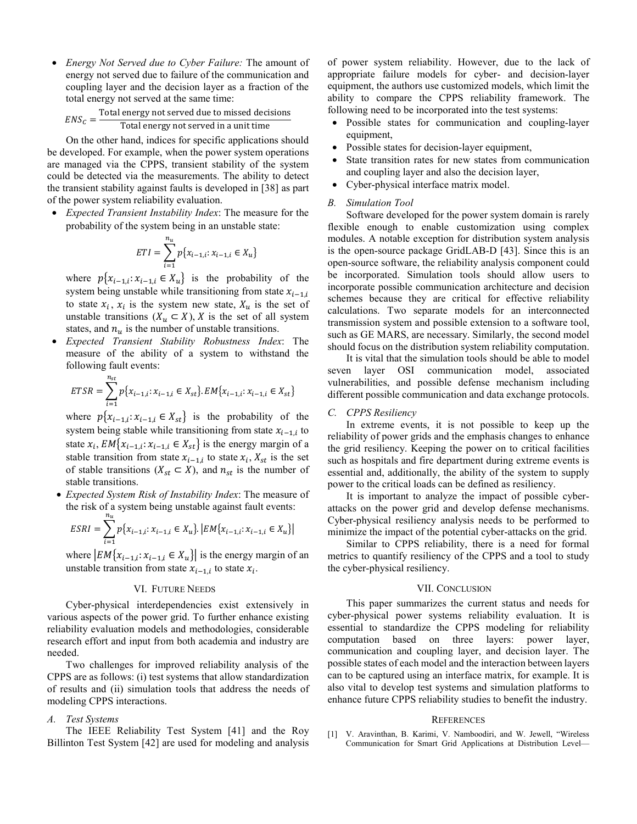• *Energy Not Served due to Cyber Failure:* The amount of energy not served due to failure of the communication and coupling layer and the decision layer as a fraction of the total energy not served at the same time:

$$
ENS_C = \frac{\text{Total energy not served due to missed decisions}}{\text{Total energy not served in a unit time}}
$$

On the other hand, indices for specific applications should be developed. For example, when the power system operations are managed via the CPPS, transient stability of the system could be detected via the measurements. The ability to detect the transient stability against faults is developed in [38] as part of the power system reliability evaluation.

• *Expected Transient Instability Index*: The measure for the probability of the system being in an unstable state:

$$
ETI = \sum_{i=1}^{n_u} p\{x_{i-1,i}: x_{i-1,i} \in X_u\}
$$

where  $p\{x_{i-1,i}: x_{i-1,i} \in X_u\}$  is the probability of the system being unstable while transitioning from state  $x_{i-1,i}$ to state  $x_i$ ,  $x_i$  is the system new state,  $X_u$  is the set of unstable transitions  $(X_u \subset X)$ , X is the set of all system states, and  $n_u$  is the number of unstable transitions.

• *Expected Transient Stability Robustness Index*: The measure of the ability of a system to withstand the following fault events:

$$
ETSR = \sum_{i=1}^{n_{st}} p\{x_{i-1,i}: x_{i-1,i} \in X_{st}\}. EM\{x_{i-1,i}: x_{i-1,i} \in X_{st}\}
$$

where  $p\{x_{i-1,i}: x_{i-1,i} \in X_{st}\}\$ is the probability of the system being stable while transitioning from state  $x_{i-1,i}$  to state  $x_i$ ,  $EM\{x_{i-1,i}: x_{i-1,i} \in X_{st}\}$  is the energy margin of a stable transition from state  $x_{i-1,i}$  to state  $x_i$ ,  $X_{st}$  is the set of stable transitions ( $X_{st} \subset X$ ), and  $n_{st}$  is the number of stable transitions.

• *Expected System Risk of Instability Index*: The measure of the risk of a system being unstable against fault events:  $n_u$ 

$$
ESRI = \sum_{i=1} p\{x_{i-1,i}: x_{i-1,i} \in X_u\} \cdot |EM\{x_{i-1,i}: x_{i-1,i} \in X_u\}|
$$

where  $|EM\{x_{i-1,i}: x_{i-1,i} \in X_u\}|$  is the energy margin of an unstable transition from state  $x_{i-1,i}$  to state  $x_i$ .

## VI. FUTURE NEEDS

Cyber-physical interdependencies exist extensively in various aspects of the power grid. To further enhance existing reliability evaluation models and methodologies, considerable research effort and input from both academia and industry are needed.

Two challenges for improved reliability analysis of the CPPS are as follows: (i) test systems that allow standardization of results and (ii) simulation tools that address the needs of modeling CPPS interactions.

# *A. Test Systems*

The IEEE Reliability Test System [41] and the Roy Billinton Test System [42] are used for modeling and analysis of power system reliability. However, due to the lack of appropriate failure models for cyber- and decision-layer equipment, the authors use customized models, which limit the ability to compare the CPPS reliability framework. The following need to be incorporated into the test systems:

- Possible states for communication and coupling-layer equipment,
- Possible states for decision-layer equipment,
- State transition rates for new states from communication and coupling layer and also the decision layer,
- Cyber-physical interface matrix model.

## *B. Simulation Tool*

Software developed for the power system domain is rarely flexible enough to enable customization using complex modules. A notable exception for distribution system analysis is the open-source package GridLAB-D [43]. Since this is an open-source software, the reliability analysis component could be incorporated. Simulation tools should allow users to incorporate possible communication architecture and decision schemes because they are critical for effective reliability calculations. Two separate models for an interconnected transmission system and possible extension to a software tool, such as GE MARS, are necessary. Similarly, the second model should focus on the distribution system reliability computation.

It is vital that the simulation tools should be able to model seven layer OSI communication model, associated vulnerabilities, and possible defense mechanism including different possible communication and data exchange protocols.

# *C. CPPS Resiliency*

In extreme events, it is not possible to keep up the reliability of power grids and the emphasis changes to enhance the grid resiliency. Keeping the power on to critical facilities such as hospitals and fire department during extreme events is essential and, additionally, the ability of the system to supply power to the critical loads can be defined as resiliency.

It is important to analyze the impact of possible cyberattacks on the power grid and develop defense mechanisms. Cyber-physical resiliency analysis needs to be performed to minimize the impact of the potential cyber-attacks on the grid.

Similar to CPPS reliability, there is a need for formal metrics to quantify resiliency of the CPPS and a tool to study the cyber-physical resiliency.

## VII. CONCLUSION

This paper summarizes the current status and needs for cyber-physical power systems reliability evaluation. It is essential to standardize the CPPS modeling for reliability computation based on three layers: power layer, communication and coupling layer, and decision layer. The possible states of each model and the interaction between layers can to be captured using an interface matrix, for example. It is also vital to develop test systems and simulation platforms to enhance future CPPS reliability studies to benefit the industry.

#### **REFERENCES**

[1] V. Aravinthan, B. Karimi, V. Namboodiri, and W. Jewell, "Wireless Communication for Smart Grid Applications at Distribution Level—